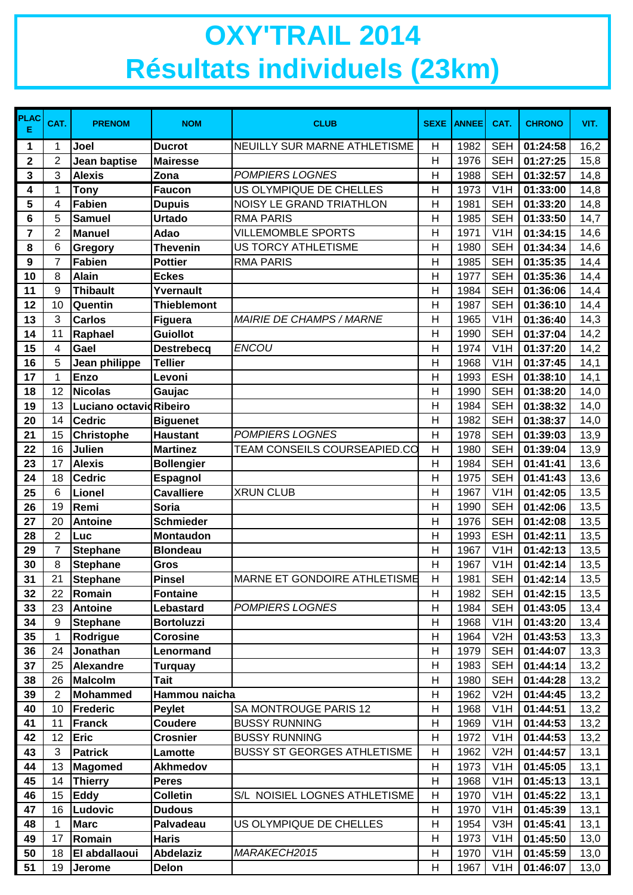## **OXY'TRAIL 2014 Résultats individuels (23km)**

| <b>PLAC</b><br>Е        | CAT.           | <b>PRENOM</b>                    | <b>NOM</b>               | <b>CLUB</b>                                   | <b>SEXE</b>    | <b>ANNEE</b> | CAT.                                 | <b>CHRONO</b>        | VIT.         |
|-------------------------|----------------|----------------------------------|--------------------------|-----------------------------------------------|----------------|--------------|--------------------------------------|----------------------|--------------|
| 1                       | 1              | Joel                             | <b>Ducrot</b>            | NEUILLY SUR MARNE ATHLETISME                  | $\mathsf{H}$   | 1982         | <b>SEH</b>                           | 01:24:58             | 16,2         |
| $\mathbf 2$             | 2              | Jean baptise                     | <b>Mairesse</b>          |                                               | $\mathsf{H}$   | 1976         | <b>SEH</b>                           | 01:27:25             | 15,8         |
| 3                       | 3              | <b>Alexis</b>                    | Zona                     | <b>POMPIERS LOGNES</b>                        | $\overline{H}$ | 1988         | <b>SEH</b>                           | 01:32:57             | 14,8         |
| 4                       | 1              | <b>Tony</b>                      | <b>Faucon</b>            | US OLYMPIQUE DE CHELLES                       | $\overline{H}$ | 1973         | V1H                                  | 01:33:00             | 14,8         |
| $\overline{\mathbf{5}}$ | 4              | <b>Fabien</b>                    | <b>Dupuis</b>            | NOISY LE GRAND TRIATHLON                      | $\overline{H}$ | 1981         | <b>SEH</b>                           | 01:33:20             | 14,8         |
| 6                       | 5              | <b>Samuel</b>                    | <b>Urtado</b>            | <b>RMA PARIS</b>                              | H              | 1985         | <b>SEH</b>                           | 01:33:50             | 14,7         |
| 7                       | $\overline{2}$ | <b>Manuel</b>                    | <b>Adao</b>              | <b>VILLEMOMBLE SPORTS</b>                     | H              | 1971         | V1H                                  | 01:34:15             | 14,6         |
| 8                       | 6              | Gregory                          | <b>Thevenin</b>          | <b>US TORCY ATHLETISME</b>                    | H              | 1980         | <b>SEH</b>                           | 01:34:34             | 14,6         |
| 9                       | $\overline{7}$ | <b>Fabien</b>                    | <b>Pottier</b>           | <b>RMA PARIS</b>                              | $\overline{H}$ | 1985         | <b>SEH</b>                           | 01:35:35             | 14,4         |
| 10                      | 8              | <b>Alain</b>                     | <b>Eckes</b>             |                                               | $\mathsf{H}$   | 1977         | <b>SEH</b>                           | 01:35:36             | 14,4         |
| 11                      | 9              | <b>Thibault</b>                  | Yvernault                |                                               | H              | 1984         | <b>SEH</b>                           | 01:36:06             | 14,4         |
| 12                      | 10             | Quentin                          | <b>Thieblemont</b>       |                                               | H              | 1987         | <b>SEH</b>                           | 01:36:10             | 14,4         |
| 13                      | 3              | <b>Carlos</b>                    | <b>Figuera</b>           | <b>MAIRIE DE CHAMPS / MARNE</b>               | $\overline{H}$ | 1965         | V1H                                  | 01:36:40             | 14,3         |
| 14                      | 11             | Raphael                          | <b>Guiollot</b>          |                                               | H              | 1990         | <b>SEH</b>                           | 01:37:04             | 14,2         |
| 15                      | 4              | Gael                             | <b>Destrebecq</b>        | ENCOU                                         | H              | 1974         | V1H                                  | 01:37:20             | 14,2         |
| 16                      | 5              | Jean philippe                    | <b>Tellier</b>           |                                               | H              | 1968         | V <sub>1</sub> H                     | 01:37:45             | 14,1         |
| 17                      | 1              | <b>Enzo</b>                      | Levoni                   |                                               | $\mathsf{H}$   | 1993         | <b>ESH</b>                           | 01:38:10             | 14,1         |
| 18                      | 12             | <b>Nicolas</b>                   | Gaujac                   |                                               | $\overline{H}$ | 1990         | <b>SEH</b>                           | 01:38:20             | 14,0         |
| 19                      | 13             | Luciano octavidRibeiro           |                          |                                               | H              | 1984         | <b>SEH</b>                           | 01:38:32             | 14,0         |
| 20                      | 14             | <b>Cedric</b>                    | <b>Biguenet</b>          |                                               | H              | 1982         | <b>SEH</b>                           | 01:38:37             | 14,0         |
| 21                      | 15             | <b>Christophe</b>                | <b>Haustant</b>          | <b>POMPIERS LOGNES</b>                        | $\mathsf{H}$   | 1978         | <b>SEH</b>                           | 01:39:03             | 13,9         |
| 22                      | 16             | Julien                           | <b>Martinez</b>          | TEAM CONSEILS COURSEAPIED.CO                  | $\overline{H}$ | 1980         | <b>SEH</b>                           | 01:39:04             | 13,9         |
| 23                      | 17             | <b>Alexis</b>                    | <b>Bollengier</b>        |                                               | $\mathsf{H}$   | 1984         | <b>SEH</b>                           | 01:41:41             | 13,6         |
| 24                      | 18             | <b>Cedric</b>                    | Espagnol                 |                                               | $\overline{H}$ | 1975         | <b>SEH</b>                           | 01:41:43             | 13,6         |
| 25                      | 6              | <b>Lionel</b>                    | <b>Cavalliere</b>        | <b>XRUN CLUB</b>                              | $\mathsf{H}$   | 1967         | V1H                                  | 01:42:05             | 13,5         |
| 26                      | 19             | Remi                             | <b>Soria</b>             |                                               | $\overline{H}$ | 1990         | <b>SEH</b>                           | 01:42:06             | 13,5         |
| 27                      | 20             | <b>Antoine</b>                   | <b>Schmieder</b>         |                                               | H              | 1976         | <b>SEH</b>                           | 01:42:08             | 13,5         |
| 28                      | 2              | Luc                              | <b>Montaudon</b>         |                                               | $\overline{H}$ | 1993         | <b>ESH</b>                           | 01:42:11             | 13,5         |
| 29                      | $\overline{7}$ | <b>Stephane</b>                  | <b>Blondeau</b>          |                                               | H              | 1967         | V1H                                  | 01:42:13             | 13,5         |
| 30                      | 8              | <b>Stephane</b>                  | Gros                     |                                               | H              | 1967         | V1H                                  | 01:42:14             | 13,5         |
| 31                      | 21             | <b>Stephane</b>                  | Pinsel                   | <b>MARNE ET GONDOIRE ATHLETISME</b>           | H              | 1981         | <b>SEH</b>                           | 01:42:14             | 13,5         |
| 32                      | 22             | Romain                           | <b>Fontaine</b>          |                                               | H              | 1982         | <b>SEH</b>                           | 01:42:15             | 13,5         |
| 33                      | 23             | <b>Antoine</b>                   | Lebastard                | <b>POMPIERS LOGNES</b>                        | H              | 1984         | <b>SEH</b>                           | 01:43:05             | 13,4         |
| 34                      | 9              | <b>Stephane</b>                  | <b>Bortoluzzi</b>        |                                               | H              | 1968         | V <sub>1</sub> H                     | 01:43:20             | 13,4         |
| 35                      | 1              | Rodrigue                         | <b>Corosine</b>          |                                               | H              | 1964         | V2H                                  | 01:43:53             | 13,3         |
| 36                      | 24             | Jonathan                         | Lenormand                |                                               | H              | 1979         | <b>SEH</b>                           | 01:44:07             | 13,3         |
| 37                      | 25             | Alexandre                        | <b>Turquay</b>           |                                               | H              | 1983         | <b>SEH</b>                           | 01:44:14             | 13,2         |
| 38                      | 26             | Malcolm                          | <b>Tait</b>              |                                               | H              | 1980         | <b>SEH</b>                           | 01:44:28             | 13,2         |
| 39                      | 2              | <b>Mohammed</b>                  | Hammou naicha            |                                               | H              | 1962         | V2H                                  | 01:44:45             | 13,2         |
| 40                      | 10             | Frederic                         | <b>Peylet</b><br>Coudere | SA MONTROUGE PARIS 12<br><b>BUSSY RUNNING</b> | H              | 1968         | V <sub>1</sub> H                     | 01:44:51<br>01:44:53 | 13,2         |
| 41                      | 11<br>12       | Franck<br><b>Eric</b>            | <b>Crosnier</b>          | <b>BUSSY RUNNING</b>                          | H<br>H         | 1969<br>1972 | V <sub>1</sub> H<br>V <sub>1</sub> H | 01:44:53             | 13,2         |
| 42<br>43                | 3              | <b>Patrick</b>                   | Lamotte                  | <b>BUSSY ST GEORGES ATHLETISME</b>            | H              | 1962         | V2H                                  | 01:44:57             | 13,2         |
|                         |                |                                  |                          |                                               |                |              |                                      |                      | 13,1         |
| 44<br>45                | 13<br>14       | <b>Magomed</b><br><b>Thierry</b> | <b>Akhmedov</b><br>Peres |                                               | H<br>H         | 1973<br>1968 | V <sub>1</sub> H<br>V <sub>1</sub> H | 01:45:05<br>01:45:13 | 13,1<br>13,1 |
| 46                      | 15             | <b>Eddy</b>                      | <b>Colletin</b>          | S/L NOISIEL LOGNES ATHLETISME                 | H              | 1970         | V <sub>1</sub> H                     | 01:45:22             |              |
| 47                      | 16             | Ludovic                          | <b>Dudous</b>            |                                               | $\mathsf{H}$   | 1970         | V <sub>1</sub> H                     | 01:45:39             | 13,1         |
| 48                      | $\mathbf 1$    | <b>Marc</b>                      | Palvadeau                | US OLYMPIQUE DE CHELLES                       | H              | 1954         | V3H                                  | 01:45:41             | 13,1<br>13,1 |
| 49                      | 17             | Romain                           | <b>Haris</b>             |                                               | H              | 1973         | V <sub>1</sub> H                     | 01:45:50             | 13,0         |
| 50                      | 18             | El abdallaoui                    | <b>Abdelaziz</b>         | MARAKECH2015                                  | H              | 1970         | V <sub>1</sub> H                     | 01:45:59             | 13,0         |
| 51                      | 19             | Jerome                           | Delon                    |                                               | H              | 1967         | V <sub>1</sub> H                     | 01:46:07             | 13,0         |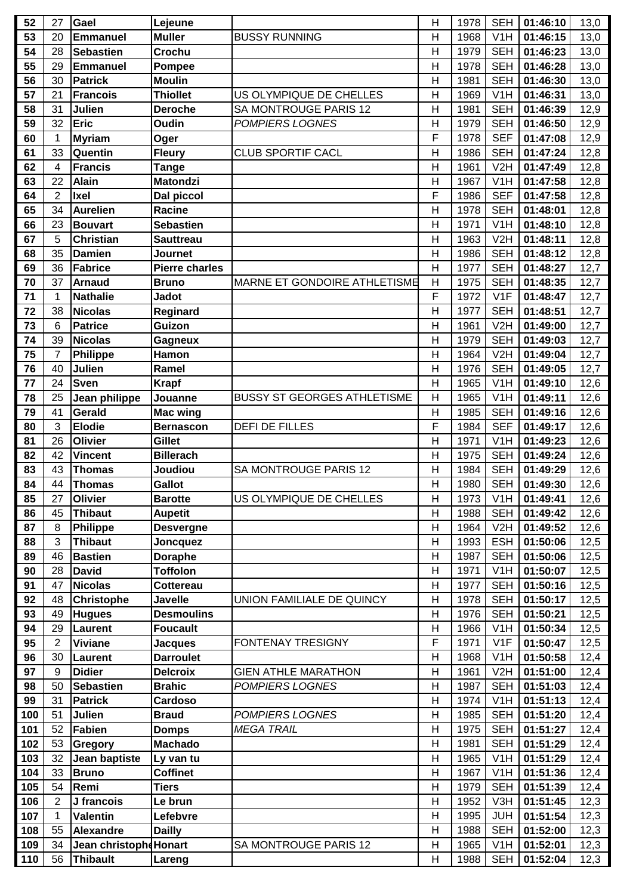| 52  | 27             | Gael                  | Lejeune               |                                    | H              | 1978 | <b>SEH</b>       | 01:46:10 | 13,0 |
|-----|----------------|-----------------------|-----------------------|------------------------------------|----------------|------|------------------|----------|------|
| 53  | 20             | <b>Emmanuel</b>       | <b>Muller</b>         | <b>BUSSY RUNNING</b>               | H              | 1968 | V <sub>1</sub> H | 01:46:15 | 13,0 |
| 54  | 28             | <b>Sebastien</b>      | Crochu                |                                    | H              | 1979 | <b>SEH</b>       | 01:46:23 | 13,0 |
| 55  | 29             | <b>Emmanuel</b>       | Pompee                |                                    | $\mathsf{H}$   | 1978 | <b>SEH</b>       | 01:46:28 | 13,0 |
| 56  | 30             | <b>Patrick</b>        | <b>Moulin</b>         |                                    | $\overline{H}$ | 1981 | <b>SEH</b>       | 01:46:30 | 13,0 |
| 57  | 21             | <b>Francois</b>       | <b>Thiollet</b>       | US OLYMPIQUE DE CHELLES            | $\mathsf{H}$   | 1969 | V <sub>1</sub> H | 01:46:31 | 13,0 |
| 58  | 31             | Julien                | <b>Deroche</b>        | SA MONTROUGE PARIS 12              | H              | 1981 | <b>SEH</b>       | 01:46:39 | 12,9 |
| 59  | 32             | Eric                  | <b>Oudin</b>          | <b>POMPIERS LOGNES</b>             | $\overline{H}$ | 1979 | <b>SEH</b>       | 01:46:50 | 12,9 |
| 60  | 1              | <b>Myriam</b>         | Oger                  |                                    | F              | 1978 | <b>SEF</b>       | 01:47:08 | 12,9 |
| 61  | 33             | Quentin               | <b>Fleury</b>         | <b>CLUB SPORTIF CACL</b>           | $\overline{H}$ | 1986 | <b>SEH</b>       | 01:47:24 | 12,8 |
| 62  | 4              | <b>Francis</b>        | <b>Tange</b>          |                                    | H              | 1961 | V <sub>2</sub> H | 01:47:49 | 12,8 |
| 63  | 22             | <b>Alain</b>          | <b>Matondzi</b>       |                                    | $\overline{H}$ | 1967 | V <sub>1</sub> H | 01:47:58 | 12,8 |
| 64  | $\overline{2}$ | <b>Ixel</b>           | Dal piccol            |                                    | F              | 1986 | <b>SEF</b>       | 01:47:58 | 12,8 |
| 65  | 34             | <b>Aurelien</b>       | Racine                |                                    | H              | 1978 | <b>SEH</b>       | 01:48:01 | 12,8 |
| 66  | 23             | <b>Bouvart</b>        | <b>Sebastien</b>      |                                    | H              | 1971 | V1H              | 01:48:10 | 12,8 |
| 67  | 5              | <b>Christian</b>      | Sauttreau             |                                    | H              | 1963 | V <sub>2</sub> H | 01:48:11 | 12,8 |
| 68  | 35             | <b>Damien</b>         | Journet               |                                    | $\mathsf{H}$   | 1986 | <b>SEH</b>       | 01:48:12 | 12,8 |
| 69  | 36             | <b>Fabrice</b>        | <b>Pierre charles</b> |                                    | H              | 1977 | <b>SEH</b>       | 01:48:27 | 12,7 |
| 70  | 37             | <b>Arnaud</b>         | <b>Bruno</b>          | MARNE ET GONDOIRE ATHLETISME       | $\mathsf{H}$   | 1975 | <b>SEH</b>       | 01:48:35 | 12,7 |
| 71  | 1              | <b>Nathalie</b>       | <b>Jadot</b>          |                                    | F              | 1972 | V1F              | 01:48:47 | 12,7 |
| 72  | 38             | <b>Nicolas</b>        | Reginard              |                                    | $\mathsf{H}$   | 1977 | <b>SEH</b>       | 01:48:51 | 12,7 |
| 73  | 6              | <b>Patrice</b>        | Guizon                |                                    | H              | 1961 | V <sub>2</sub> H | 01:49:00 | 12,7 |
| 74  | 39             | <b>Nicolas</b>        | Gagneux               |                                    | $\overline{H}$ | 1979 | <b>SEH</b>       | 01:49:03 | 12,7 |
| 75  | 7              | Philippe              | Hamon                 |                                    | H              | 1964 | V2H              | 01:49:04 | 12,7 |
| 76  | 40             | Julien                | Ramel                 |                                    | $\mathsf{H}$   | 1976 | <b>SEH</b>       | 01:49:05 | 12,7 |
| 77  | 24             | <b>Sven</b>           | <b>Krapf</b>          |                                    | H              | 1965 | V <sub>1</sub> H | 01:49:10 | 12,6 |
| 78  | 25             | Jean philippe         | Jouanne               | <b>BUSSY ST GEORGES ATHLETISME</b> | $\mathsf{H}$   | 1965 | V <sub>1</sub> H | 01:49:11 | 12,6 |
| 79  | 41             | Gerald                | Mac wing              |                                    | H              | 1985 | <b>SEH</b>       | 01:49:16 | 12,6 |
| 80  | 3              | <b>Elodie</b>         | <b>Bernascon</b>      | <b>DEFI DE FILLES</b>              | F              | 1984 | <b>SEF</b>       | 01:49:17 | 12,6 |
| 81  | 26             | Olivier               | Gillet                |                                    | H              | 1971 | V <sub>1</sub> H | 01:49:23 | 12,6 |
| 82  | 42             | <b>Vincent</b>        | <b>Billerach</b>      |                                    | $\overline{H}$ | 1975 | <b>SEH</b>       | 01:49:24 | 12,6 |
| 83  | 43             | <b>Thomas</b>         | Joudiou               | SA MONTROUGE PARIS 12              | H              | 1984 | <b>SEH</b>       | 01:49:29 | 12,6 |
| 84  | 44             | <b>Thomas</b>         | <b>Gallot</b>         |                                    | $\mathsf{H}$   | 1980 | <b>SEH</b>       | 01:49:30 | 12,6 |
| 85  | 27             | <b>Olivier</b>        | <b>Barotte</b>        | US OLYMPIQUE DE CHELLES            | H              | 1973 | V1H              | 01:49:41 | 12,6 |
| 86  | 45             | <b>Thibaut</b>        | <b>Aupetit</b>        |                                    | H              | 1988 | <b>SEH</b>       | 01:49:42 | 12,6 |
| 87  | 8              | <b>Philippe</b>       | <b>Desvergne</b>      |                                    | H              | 1964 | V2H              | 01:49:52 | 12,6 |
| 88  | 3              | <b>Thibaut</b>        | Joncquez              |                                    | H              | 1993 | <b>ESH</b>       | 01:50:06 | 12,5 |
| 89  | 46             | <b>Bastien</b>        | <b>Doraphe</b>        |                                    | H              | 1987 | <b>SEH</b>       | 01:50:06 | 12,5 |
| 90  | 28             | <b>David</b>          | <b>Toffolon</b>       |                                    | $\mathsf{H}$   | 1971 | V <sub>1</sub> H | 01:50:07 | 12,5 |
| 91  | 47             | <b>Nicolas</b>        | <b>Cottereau</b>      |                                    | $\mathsf{H}$   | 1977 | <b>SEH</b>       | 01:50:16 | 12,5 |
| 92  | 48             | <b>Christophe</b>     | <b>Javelle</b>        | UNION FAMILIALE DE QUINCY          | H              | 1978 | <b>SEH</b>       | 01:50:17 | 12,5 |
| 93  | 49             | <b>Hugues</b>         | <b>Desmoulins</b>     |                                    | H              | 1976 | <b>SEH</b>       | 01:50:21 | 12,5 |
| 94  | 29             | <b>Laurent</b>        | <b>Foucault</b>       |                                    | H              | 1966 | V <sub>1</sub> H | 01:50:34 | 12,5 |
| 95  | 2              | <b>Viviane</b>        | <b>Jacques</b>        | <b>FONTENAY TRESIGNY</b>           | F              | 1971 | V <sub>1</sub> F | 01:50:47 | 12,5 |
| 96  | 30             | <b>Laurent</b>        | <b>Darroulet</b>      |                                    | H              | 1968 | V <sub>1</sub> H | 01:50:58 | 12,4 |
| 97  | 9              | <b>Didier</b>         | <b>Delcroix</b>       | <b>GIEN ATHLE MARATHON</b>         | $\mathsf{H}$   | 1961 | V2H              | 01:51:00 | 12,4 |
| 98  | 50             | <b>Sebastien</b>      | <b>Brahic</b>         | <b>POMPIERS LOGNES</b>             | H              | 1987 | <b>SEH</b>       | 01:51:03 | 12,4 |
| 99  | 31             | <b>Patrick</b>        | Cardoso               |                                    | H              | 1974 | V <sub>1</sub> H | 01:51:13 | 12,4 |
| 100 | 51             | Julien                | <b>Braud</b>          | POMPIERS LOGNES                    | H              | 1985 | <b>SEH</b>       | 01:51:20 | 12,4 |
| 101 | 52             | Fabien                | <b>Domps</b>          | <b>MEGA TRAIL</b>                  | H              | 1975 | <b>SEH</b>       | 01:51:27 | 12,4 |
| 102 | 53             | <b>Gregory</b>        | <b>Machado</b>        |                                    | $\overline{H}$ | 1981 | <b>SEH</b>       | 01:51:29 | 12,4 |
| 103 | 32             | Jean baptiste         | Ly van tu             |                                    | H              | 1965 | V <sub>1</sub> H | 01:51:29 | 12,4 |
| 104 | 33             | <b>Bruno</b>          | <b>Coffinet</b>       |                                    | H              | 1967 | V <sub>1</sub> H | 01:51:36 | 12,4 |
| 105 | 54             | Remi                  | <b>Tiers</b>          |                                    | H              | 1979 | <b>SEH</b>       | 01:51:39 | 12,4 |
| 106 | 2              | J francois            | Le brun               |                                    | $\mathsf{H}$   | 1952 | V3H              | 01:51:45 | 12,3 |
| 107 | $\mathbf 1$    | <b>Valentin</b>       | Lefebvre              |                                    | H              | 1995 | <b>JUH</b>       | 01:51:54 | 12,3 |
| 108 | 55             | Alexandre             | <b>Dailly</b>         |                                    | H              | 1988 | <b>SEH</b>       | 01:52:00 | 12,3 |
| 109 | 34             | Jean christoph Honart |                       | SA MONTROUGE PARIS 12              | $\mathsf{H}$   | 1965 | V <sub>1</sub> H | 01:52:01 | 12,3 |
| 110 | 56             |                       |                       |                                    | $\mathsf{H}$   |      | <b>SEH</b>       | 01:52:04 |      |
|     |                | <b>Thibault</b>       | Lareng                |                                    |                | 1988 |                  |          | 12,3 |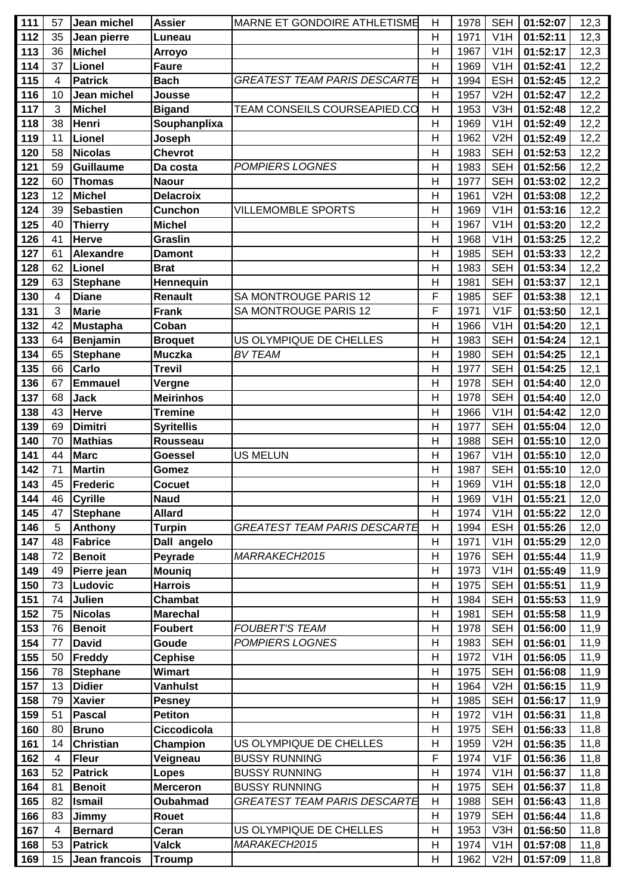| 111        | 57                      | Jean michel               | <b>Assier</b>                     | MARNE ET GONDOIRE ATHLETISME | Н              | 1978         | <b>SEH</b>               | 01:52:07             | 12,3         |
|------------|-------------------------|---------------------------|-----------------------------------|------------------------------|----------------|--------------|--------------------------|----------------------|--------------|
| 112        | 35                      | Jean pierre               | Luneau                            |                              | H              | 1971         | V1H                      | 01:52:11             | 12,3         |
| 113        | 36                      | <b>Michel</b>             | <b>Arroyo</b>                     |                              | H              | 1967         | V <sub>1</sub> H         | 01:52:17             | 12,3         |
| 114        | 37                      | Lionel                    | <b>Faure</b>                      |                              | H              | 1969         | V1H                      | 01:52:41             | 12,2         |
| 115        | 4                       | <b>Patrick</b>            | <b>Bach</b>                       | GREATEST TEAM PARIS DESCARTE | $\mathsf{H}$   | 1994         | <b>ESH</b>               | 01:52:45             | 12,2         |
| 116        | 10                      | Jean michel               | Jousse                            |                              | $\mathsf{H}$   | 1957         | V <sub>2</sub> H         | 01:52:47             | 12,2         |
| 117        | 3                       | <b>Michel</b>             | <b>Bigand</b>                     | TEAM CONSEILS COURSEAPIED.CO | $\overline{H}$ | 1953         | V3H                      | 01:52:48             | 12,2         |
| 118        | 38                      | Henri                     | Souphanplixa                      |                              | Н              | 1969         | V1H                      | 01:52:49             | 12,2         |
| 119        | 11                      | <b>Lionel</b>             | Joseph                            |                              | $\mathsf{H}$   | 1962         | V <sub>2</sub> H         | 01:52:49             | 12,2         |
| 120        | 58                      | <b>Nicolas</b>            | <b>Chevrot</b>                    |                              | Н              | 1983         | <b>SEH</b>               | 01:52:53             | 12,2         |
| 121        | 59                      | <b>Guillaume</b>          | Da costa                          | <b>POMPIERS LOGNES</b>       | $\mathsf{H}$   | 1983         | <b>SEH</b>               | 01:52:56             | 12,2         |
| 122        | 60                      | <b>Thomas</b>             | <b>Naour</b>                      |                              | Н              | 1977         | <b>SEH</b>               | 01:53:02             | 12,2         |
| 123        | 12                      | <b>Michel</b>             | <b>Delacroix</b>                  |                              | Н              | 1961         | V <sub>2</sub> H         | 01:53:08             | 12,2         |
| 124        | 39                      | <b>Sebastien</b>          | <b>Cunchon</b>                    | <b>VILLEMOMBLE SPORTS</b>    | H              | 1969         | V <sub>1</sub> H         | 01:53:16             | 12,2         |
| 125        | 40                      | <b>Thierry</b>            | <b>Michel</b>                     |                              | H              | 1967         | V <sub>1</sub> H         | 01:53:20             | 12,2         |
| 126        | 41                      | <b>Herve</b>              | <b>Graslin</b>                    |                              | Η              | 1968         | V1H                      | 01:53:25             | 12,2         |
| 127        | 61                      | <b>Alexandre</b>          | <b>Damont</b>                     |                              | $\mathsf{H}$   | 1985         | <b>SEH</b>               | 01:53:33             | 12,2         |
| 128        | 62                      | Lionel                    | <b>Brat</b>                       |                              | H              | 1983         | <b>SEH</b>               | 01:53:34             | 12,2         |
| 129        | 63                      | <b>Stephane</b>           | Hennequin                         |                              | H              | 1981         | <b>SEH</b>               | 01:53:37             | 12,1         |
| 130        | 4                       | <b>Diane</b>              | <b>Renault</b>                    | SA MONTROUGE PARIS 12        | F              | 1985         | <b>SEF</b>               | 01:53:38             | 12,1         |
| 131        | 3                       | <b>Marie</b>              | <b>Frank</b>                      | SA MONTROUGE PARIS 12        | F              | 1971         | V <sub>1</sub> F         | 01:53:50             | 12,1         |
| 132        | 42                      | <b>Mustapha</b>           | Coban                             |                              | H              | 1966         | V <sub>1</sub> H         | 01:54:20             | 12,1         |
| 133        | 64                      | <b>Benjamin</b>           | <b>Broquet</b>                    | US OLYMPIQUE DE CHELLES      | H              | 1983         | <b>SEH</b>               | 01:54:24             | 12,1         |
| 134        | 65                      | <b>Stephane</b>           | <b>Muczka</b>                     | <b>BV TEAM</b>               | $\mathsf{H}$   | 1980         | <b>SEH</b>               | 01:54:25             | 12,1         |
| 135        | 66                      | Carlo                     | <b>Trevil</b>                     |                              | $\mathsf{H}$   | 1977         | <b>SEH</b>               | 01:54:25             | 12,1         |
| 136        | 67                      | <b>Emmauel</b>            | Vergne                            |                              | $\mathsf{H}$   | 1978         | <b>SEH</b>               | 01:54:40             | 12,0         |
| 137        | 68                      | <b>Jack</b>               | <b>Meirinhos</b>                  |                              | Н              | 1978         | <b>SEH</b>               | 01:54:40             | 12,0         |
| 138        | 43                      | <b>Herve</b>              | <b>Tremine</b>                    |                              | H              | 1966         | V <sub>1</sub> H         | 01:54:42             | 12,0         |
| 139        | 69                      | <b>Dimitri</b>            |                                   |                              | Н              | 1977         | <b>SEH</b>               | 01:55:04             | 12,0         |
| 140        | 70                      | <b>Mathias</b>            | <b>Syritellis</b><br>Rousseau     |                              | $\mathsf{H}$   | 1988         | <b>SEH</b>               | 01:55:10             | 12,0         |
| 141        | 44                      | <b>Marc</b>               |                                   | <b>US MELUN</b>              | Н              | 1967         | V1H                      | 01:55:10             |              |
| 142        | 71                      | <b>Martin</b>             | <b>Goessel</b>                    |                              | $\mathsf{H}$   | 1987         | <b>SEH</b>               | 01:55:10             | 12,0         |
| 143        | 45                      | <b>Frederic</b>           | Gomez<br>Cocuet                   |                              | Н              | 1969         | V <sub>1</sub> H         | 01:55:18             | 12,0         |
|            |                         |                           | <b>Naud</b>                       |                              | Н              | 1969         |                          |                      | 12,0         |
| 144<br>145 | 46<br>47                | <b>Cyrille</b>            | <b>Allard</b>                     |                              | H              | 1974         | V1H<br>V1H               | 01:55:21<br>01:55:22 | 12,0<br>12,0 |
| 146        | 5                       | <b>Stephane</b>           |                                   | GREATEST TEAM PARIS DESCARTE | Н              | 1994         | <b>ESH</b>               | 01:55:26             |              |
| 147        | 48                      | Anthony<br><b>Fabrice</b> | <b>Turpin</b><br>Dall angelo      |                              | Н              | 1971         | V <sub>1</sub> H         | 01:55:29             | 12,0<br>12,0 |
| 148        | 72                      | <b>Benoit</b>             | Peyrade                           | MARRAKECH2015                | H              | 1976         | <b>SEH</b>               | 01:55:44             | 11,9         |
| 149        | 49                      |                           |                                   |                              | Η              | 1973         | V <sub>1</sub> H         |                      |              |
| 150        | 73                      | Pierre jean<br>Ludovic    | <b>Mouniq</b><br><b>Harrois</b>   |                              | $\mathsf{H}$   | 1975         | <b>SEH</b>               | 01:55:49<br>01:55:51 | 11,9<br>11,9 |
|            |                         | Julien                    |                                   |                              |                |              |                          |                      |              |
| 151<br>152 | 74<br>75                | <b>Nicolas</b>            | <b>Chambat</b><br><b>Marechal</b> |                              | Η<br>H         | 1984<br>1981 | <b>SEH</b><br><b>SEH</b> | 01:55:53<br>01:55:58 | 11,9<br>11,9 |
| 153        | 76                      | <b>Benoit</b>             | <b>Foubert</b>                    | <b>FOUBERT'S TEAM</b>        | Η              | 1978         | <b>SEH</b>               | 01:56:00             |              |
| 154        | 77                      | <b>David</b>              | Goude                             | <b>POMPIERS LOGNES</b>       | Η              | 1983         | <b>SEH</b>               | 01:56:01             | 11,9<br>11,9 |
| 155        | 50                      | Freddy                    | <b>Cephise</b>                    |                              | Н              | 1972         | V <sub>1</sub> H         | 01:56:05             | 11,9         |
| 156        | 78                      | <b>Stephane</b>           | <b>Wimart</b>                     |                              | Н              | 1975         | <b>SEH</b>               | 01:56:08             | 11,9         |
| 157        | 13                      | <b>Didier</b>             | <b>Vanhulst</b>                   |                              | $\mathsf{H}$   | 1964         | V2H                      | 01:56:15             |              |
| 158        | 79                      | <b>Xavier</b>             |                                   |                              |                | 1985         | <b>SEH</b>               |                      | 11,9         |
| 159        | 51                      | Pascal                    | <b>Pesney</b><br><b>Petiton</b>   |                              | Н<br>H         | 1972         | V <sub>1</sub> H         | 01:56:17<br>01:56:31 | 11,9<br>11,8 |
| 160        | 80                      | <b>Bruno</b>              | Ciccodicola                       |                              | H              | 1975         | <b>SEH</b>               | 01:56:33             |              |
|            |                         |                           |                                   |                              |                |              | V2H                      |                      | 11,8         |
| 161        | 14                      | <b>Christian</b>          | Champion                          | US OLYMPIQUE DE CHELLES      | Н<br>F         | 1959         |                          | 01:56:35             | 11,8         |
| 162        | 4                       | <b>Fleur</b>              | Veigneau                          | <b>BUSSY RUNNING</b>         |                | 1974         | V <sub>1</sub> F         | 01:56:36             | 11,8         |
| 163        | 52                      | <b>Patrick</b>            | Lopes                             | <b>BUSSY RUNNING</b>         | $\mathsf{H}$   | 1974         | V <sub>1</sub> H         | 01:56:37             | 11,8         |
| 164        | 81                      | <b>Benoit</b>             | <b>Merceron</b>                   | <b>BUSSY RUNNING</b>         | Н              | 1975         | <b>SEH</b>               | 01:56:37             | 11,8         |
| 165        | 82                      | <b>Ismail</b>             | Oubahmad                          | GREATEST TEAM PARIS DESCARTE | $\mathsf{H}$   | 1988         | <b>SEH</b>               | 01:56:43             | 11,8         |
| 166        | 83                      | Jimmy                     | Rouet                             |                              | Η              | 1979         | <b>SEH</b>               | 01:56:44             | 11,8         |
| 167        | $\overline{\mathbf{4}}$ | <b>Bernard</b>            | Ceran                             | US OLYMPIQUE DE CHELLES      | H              | 1953         | V3H                      | 01:56:50             | 11,8         |
| 168        | 53                      | <b>Patrick</b>            | <b>Valck</b>                      | MARAKECH2015                 | Н              | 1974         | V <sub>1</sub> H         | 01:57:08             | 11,8         |
| 169        | 15                      | Jean francois             | <b>Troump</b>                     |                              | Η              | 1962         | V2H                      | 01:57:09             | 11,8         |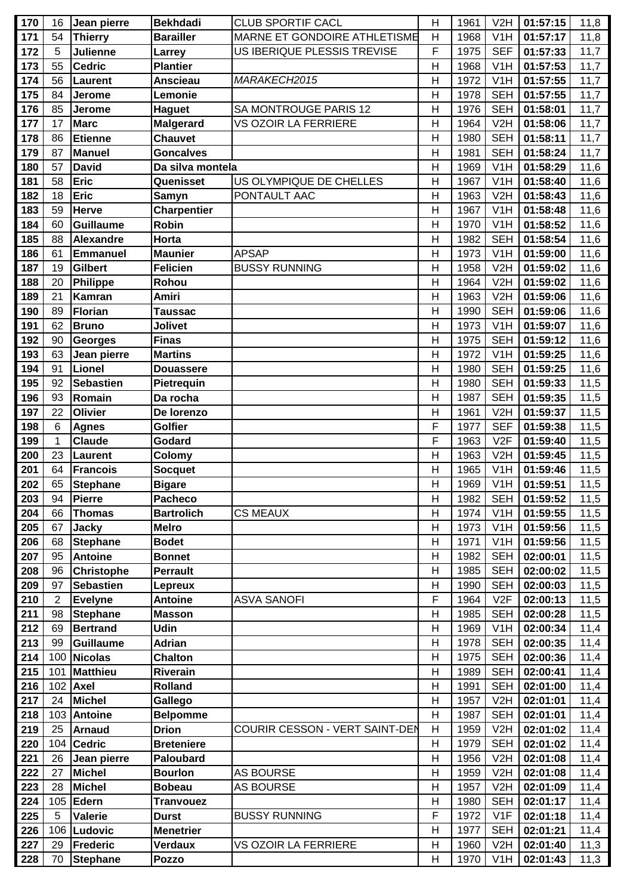| 170 | 16             | Jean pierre       | <b>Bekhdadi</b>    | <b>CLUB SPORTIF CACL</b>       | H            | 1961 | V2H              | 01:57:15 | 11,8 |
|-----|----------------|-------------------|--------------------|--------------------------------|--------------|------|------------------|----------|------|
| 171 | 54             | <b>Thierry</b>    | <b>Barailler</b>   | MARNE ET GONDOIRE ATHLETISME   | H            | 1968 | V <sub>1</sub> H | 01:57:17 | 11,8 |
| 172 | 5              | Julienne          | Larrey             | US IBERIQUE PLESSIS TREVISE    | F            | 1975 | <b>SEF</b>       | 01:57:33 | 11,7 |
| 173 | 55             | <b>Cedric</b>     | <b>Plantier</b>    |                                | Н            | 1968 | V <sub>1</sub> H | 01:57:53 | 11,7 |
| 174 | 56             | <b>Laurent</b>    | <b>Anscieau</b>    | MARAKECH2015                   | Н            | 1972 | V <sub>1</sub> H | 01:57:55 | 11,7 |
| 175 | 84             | Jerome            | Lemonie            |                                | Н            | 1978 | <b>SEH</b>       | 01:57:55 | 11,7 |
| 176 | 85             | Jerome            | <b>Haguet</b>      | SA MONTROUGE PARIS 12          | H            | 1976 | <b>SEH</b>       | 01:58:01 | 11,7 |
| 177 | 17             | <b>Marc</b>       | <b>Malgerard</b>   | VS OZOIR LA FERRIERE           | H            | 1964 | V2H              | 01:58:06 | 11,7 |
| 178 | 86             | <b>Etienne</b>    | <b>Chauvet</b>     |                                | H            | 1980 | <b>SEH</b>       | 01:58:11 | 11,7 |
| 179 | 87             | <b>Manuel</b>     | <b>Goncalves</b>   |                                | $\mathsf{H}$ | 1981 | <b>SEH</b>       | 01:58:24 | 11,7 |
| 180 | 57             | <b>David</b>      | Da silva montela   |                                | H            | 1969 | V1H              | 01:58:29 | 11,6 |
| 181 | 58             | Eric              | Quenisset          | US OLYMPIQUE DE CHELLES        | H            | 1967 | V <sub>1</sub> H | 01:58:40 | 11,6 |
| 182 | 18             | <b>Eric</b>       | Samyn              | PONTAULT AAC                   | Н            | 1963 | V2H              | 01:58:43 | 11,6 |
| 183 | 59             | <b>Herve</b>      | <b>Charpentier</b> |                                | $\mathsf{H}$ | 1967 | V1H              | 01:58:48 | 11,6 |
| 184 | 60             | Guillaume         | <b>Robin</b>       |                                | H            | 1970 | V1H              | 01:58:52 | 11,6 |
|     | 88             |                   | Horta              |                                | H            | 1982 | <b>SEH</b>       |          | 11,6 |
| 185 | 61             | <b>Alexandre</b>  |                    | <b>APSAP</b>                   | H            | 1973 | V1H              | 01:58:54 |      |
| 186 |                | <b>Emmanuel</b>   | <b>Maunier</b>     |                                |              |      |                  | 01:59:00 | 11,6 |
| 187 | 19             | <b>Gilbert</b>    | <b>Felicien</b>    | <b>BUSSY RUNNING</b>           | H            | 1958 | V <sub>2</sub> H | 01:59:02 | 11,6 |
| 188 | 20             | Philippe          | Rohou              |                                | H            | 1964 | V2H              | 01:59:02 | 11,6 |
| 189 | 21             | <b>Kamran</b>     | <b>Amiri</b>       |                                | $\mathsf{H}$ | 1963 | V2H              | 01:59:06 | 11,6 |
| 190 | 89             | <b>Florian</b>    | Taussac            |                                | $\mathsf{H}$ | 1990 | <b>SEH</b>       | 01:59:06 | 11,6 |
| 191 | 62             | <b>Bruno</b>      | <b>Jolivet</b>     |                                | H            | 1973 | V1H              | 01:59:07 | 11,6 |
| 192 | 90             | <b>Georges</b>    | <b>Finas</b>       |                                | Н            | 1975 | <b>SEH</b>       | 01:59:12 | 11,6 |
| 193 | 63             | Jean pierre       | <b>Martins</b>     |                                | $\mathsf{H}$ | 1972 | V1H              | 01:59:25 | 11,6 |
| 194 | 91             | Lionel            | <b>Douassere</b>   |                                | H            | 1980 | <b>SEH</b>       | 01:59:25 | 11,6 |
| 195 | 92             | <b>Sebastien</b>  | Pietrequin         |                                | H            | 1980 | <b>SEH</b>       | 01:59:33 | 11,5 |
| 196 | 93             | Romain            | Da rocha           |                                | H            | 1987 | <b>SEH</b>       | 01:59:35 | 11,5 |
| 197 | 22             | <b>Olivier</b>    | De lorenzo         |                                | $\mathsf{H}$ | 1961 | V2H              | 01:59:37 | 11,5 |
| 198 | 6              | <b>Agnes</b>      | <b>Golfier</b>     |                                | F            | 1977 | <b>SEF</b>       | 01:59:38 | 11,5 |
| 199 | 1              | <b>Claude</b>     | Godard             |                                | F            | 1963 | V2F              | 01:59:40 | 11,5 |
| 200 | 23             | <b>Laurent</b>    | Colomy             |                                | H            | 1963 | V2H              | 01:59:45 | 11,5 |
| 201 | 64             | <b>Francois</b>   | <b>Socquet</b>     |                                | H            | 1965 | V1H              | 01:59:46 | 11,5 |
| 202 | 65             | <b>Stephane</b>   | <b>Bigare</b>      |                                | H            | 1969 | V <sub>1</sub> H | 01:59:51 | 11,5 |
| 203 | 94             | Pierre            | <b>Pacheco</b>     |                                | H            | 1982 | SEH              | 01:59:52 | 11,5 |
| 204 | 66             | <b>Thomas</b>     | <b>Bartrolich</b>  | <b>CS MEAUX</b>                | H            | 1974 | V1H              | 01:59:55 | 11,5 |
| 205 | 67             | <b>Jacky</b>      | <b>Melro</b>       |                                | H            | 1973 | V <sub>1</sub> H | 01:59:56 | 11,5 |
| 206 | 68             | <b>Stephane</b>   | <b>Bodet</b>       |                                | H            | 1971 | V1H              | 01:59:56 | 11,5 |
| 207 | 95             | <b>Antoine</b>    | <b>Bonnet</b>      |                                | H            | 1982 | <b>SEH</b>       | 02:00:01 | 11,5 |
| 208 | 96             | <b>Christophe</b> | <b>Perrault</b>    |                                | H            | 1985 | <b>SEH</b>       | 02:00:02 | 11,5 |
| 209 | 97             | <b>Sebastien</b>  | Lepreux            |                                | Н            | 1990 | <b>SEH</b>       | 02:00:03 | 11,5 |
| 210 | $\overline{2}$ | <b>Evelyne</b>    | <b>Antoine</b>     | <b>ASVA SANOFI</b>             | F            | 1964 | V2F              | 02:00:13 | 11,5 |
| 211 | 98             | <b>Stephane</b>   | <b>Masson</b>      |                                | H            | 1985 | <b>SEH</b>       | 02:00:28 | 11,5 |
| 212 | 69             | <b>Bertrand</b>   | <b>Udin</b>        |                                | $\mathsf{H}$ | 1969 | V <sub>1</sub> H | 02:00:34 | 11,4 |
| 213 | 99             | <b>Guillaume</b>  | <b>Adrian</b>      |                                | H            | 1978 | <b>SEH</b>       | 02:00:35 | 11,4 |
| 214 | 100            | Nicolas           | <b>Chalton</b>     |                                | H            | 1975 | <b>SEH</b>       | 02:00:36 | 11,4 |
| 215 | 101            | Matthieu          | <b>Riverain</b>    |                                | Н            | 1989 | <b>SEH</b>       | 02:00:41 | 11,4 |
| 216 | 102            | <b>Axel</b>       | <b>Rolland</b>     |                                | H            | 1991 | <b>SEH</b>       | 02:01:00 | 11,4 |
| 217 | 24             | <b>Michel</b>     | Gallego            |                                | H            | 1957 | V2H              | 02:01:01 | 11,4 |
| 218 | 103            | <b>Antoine</b>    | <b>Belpomme</b>    |                                | H            | 1987 | <b>SEH</b>       | 02:01:01 | 11,4 |
| 219 | 25             | <b>Arnaud</b>     | <b>Drion</b>       | COURIR CESSON - VERT SAINT-DEN | H            | 1959 | V2H              | 02:01:02 | 11,4 |
| 220 | 104            | <b>Cedric</b>     | <b>Breteniere</b>  |                                | H            | 1979 | <b>SEH</b>       | 02:01:02 | 11,4 |
| 221 | 26             | Jean pierre       | <b>Paloubard</b>   |                                | H            | 1956 | V2H              | 02:01:08 | 11,4 |
| 222 | 27             | <b>Michel</b>     | <b>Bourlon</b>     | AS BOURSE                      | H            | 1959 | V2H              | 02:01:08 | 11,4 |
| 223 | 28             | <b>Michel</b>     | <b>Bobeau</b>      | <b>AS BOURSE</b>               | H            | 1957 | V2H              | 02:01:09 | 11,4 |
| 224 | 105            | Edern             | <b>Tranvouez</b>   |                                | H            | 1980 | <b>SEH</b>       | 02:01:17 | 11,4 |
| 225 | 5              | <b>Valerie</b>    | <b>Durst</b>       | <b>BUSSY RUNNING</b>           | F            | 1972 | V1F              | 02:01:18 | 11,4 |
| 226 | 106            | Ludovic           | <b>Menetrier</b>   |                                | H            | 1977 | <b>SEH</b>       | 02:01:21 | 11,4 |
| 227 | 29             | Frederic          | <b>Verdaux</b>     | VS OZOIR LA FERRIERE           | H            | 1960 | V2H              | 02:01:40 | 11,3 |
| 228 | 70             | <b>Stephane</b>   | Pozzo              |                                | H            | 1970 | V <sub>1</sub> H | 02:01:43 | 11,3 |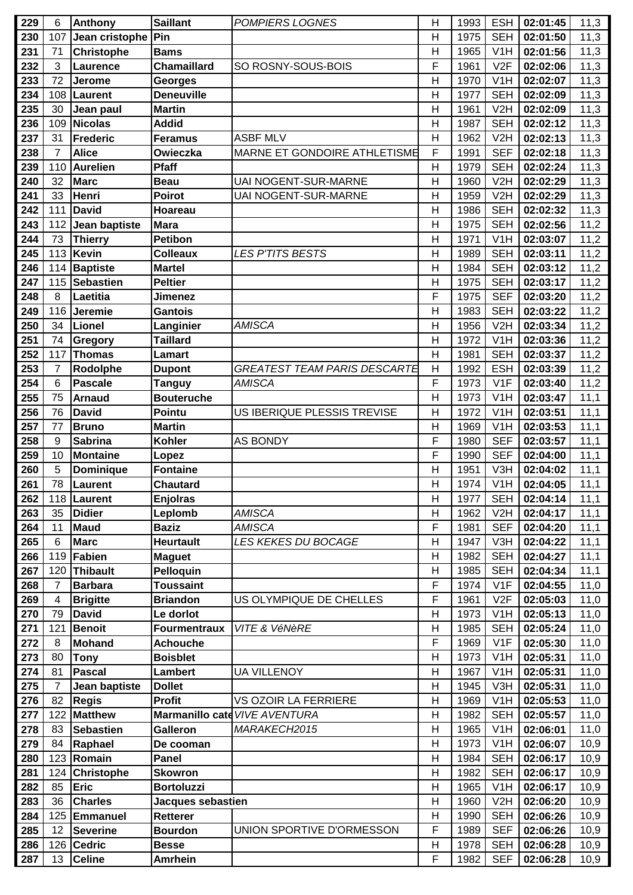| 229 | 6              | Anthony           | <b>Saillant</b>     | <b>POMPIERS LOGNES</b>              | H              | 1993 | <b>ESH</b>       | 02:01:45 | 11,3 |
|-----|----------------|-------------------|---------------------|-------------------------------------|----------------|------|------------------|----------|------|
| 230 | 107            | Jean cristophe    | Pin                 |                                     | $\mathsf{H}$   | 1975 | <b>SEH</b>       | 02:01:50 | 11,3 |
| 231 | 71             | <b>Christophe</b> | <b>Bams</b>         |                                     | $\overline{H}$ | 1965 | V <sub>1</sub> H | 02:01:56 | 11,3 |
| 232 | 3              | Laurence          | <b>Chamaillard</b>  | SO ROSNY-SOUS-BOIS                  | F              | 1961 | V2F              | 02:02:06 | 11,3 |
| 233 | 72             | <b>Jerome</b>     | <b>Georges</b>      |                                     | $\mathsf{H}$   | 1970 | V1H              | 02:02:07 | 11,3 |
| 234 | 108            | Laurent           | <b>Deneuville</b>   |                                     | H              | 1977 | <b>SEH</b>       | 02:02:09 | 11,3 |
| 235 | 30             | Jean paul         | <b>Martin</b>       |                                     | $\overline{H}$ | 1961 | V2H              | 02:02:09 | 11,3 |
| 236 | 109            | Nicolas           | <b>Addid</b>        |                                     | H              | 1987 | <b>SEH</b>       | 02:02:12 | 11,3 |
| 237 | 31             | <b>Frederic</b>   | <b>Feramus</b>      | <b>ASBF MLV</b>                     | $\mathsf{H}$   | 1962 | V2H              | 02:02:13 | 11,3 |
| 238 | $\overline{7}$ | <b>Alice</b>      | Owieczka            | MARNE ET GONDOIRE ATHLETISME        | F              | 1991 | <b>SEF</b>       | 02:02:18 | 11,3 |
| 239 | 110            | <b>Aurelien</b>   | Pfaff               |                                     | $\overline{H}$ | 1979 | <b>SEH</b>       | 02:02:24 | 11,3 |
| 240 | 32             | <b>Marc</b>       |                     | UAI NOGENT-SUR-MARNE                | $\mathsf{H}$   | 1960 | V <sub>2</sub> H |          |      |
|     |                |                   | <b>Beau</b>         |                                     |                |      |                  | 02:02:29 | 11,3 |
| 241 | 33             | Henri             | <b>Poirot</b>       | <b>UAI NOGENT-SUR-MARNE</b>         | $\mathsf{H}$   | 1959 | V <sub>2</sub> H | 02:02:29 | 11,3 |
| 242 | 111            | <b>David</b>      | Hoareau             |                                     | $\overline{H}$ | 1986 | <b>SEH</b>       | 02:02:32 | 11,3 |
| 243 | 112            | Jean baptiste     | Mara                |                                     | $\mathsf{H}$   | 1975 | <b>SEH</b>       | 02:02:56 | 11,2 |
| 244 | 73             | <b>Thierry</b>    | <b>Petibon</b>      |                                     | H              | 1971 | V <sub>1</sub> H | 02:03:07 | 11,2 |
| 245 | 113            | Kevin             | <b>Colleaux</b>     | <b>LES P'TITS BESTS</b>             | $\mathsf{H}$   | 1989 | <b>SEH</b>       | 02:03:11 | 11,2 |
| 246 | 114            | Baptiste          | <b>Martel</b>       |                                     | H              | 1984 | <b>SEH</b>       | 02:03:12 | 11,2 |
| 247 | 115            | Sebastien         | <b>Peltier</b>      |                                     | $\mathsf{H}$   | 1975 | <b>SEH</b>       | 02:03:17 | 11,2 |
| 248 | 8              | Laetitia          | Jimenez             |                                     | F              | 1975 | <b>SEF</b>       | 02:03:20 | 11,2 |
| 249 | 116            | Jeremie           | <b>Gantois</b>      |                                     | H              | 1983 | <b>SEH</b>       | 02:03:22 | 11,2 |
| 250 | 34             | Lionel            | Langinier           | <b>AMISCA</b>                       | $\overline{H}$ | 1956 | V2H              | 02:03:34 | 11,2 |
| 251 | 74             | Gregory           | <b>Taillard</b>     |                                     | H              | 1972 | V1H              | 02:03:36 | 11,2 |
| 252 | 117            | <b>Thomas</b>     | Lamart              |                                     | H              | 1981 | <b>SEH</b>       | 02:03:37 | 11,2 |
| 253 | $\overline{7}$ | Rodolphe          | <b>Dupont</b>       | <b>GREATEST TEAM PARIS DESCARTE</b> | H              | 1992 | <b>ESH</b>       | 02:03:39 | 11,2 |
| 254 | 6              | <b>Pascale</b>    | <b>Tanguy</b>       | <b>AMISCA</b>                       | F              | 1973 | V1F              | 02:03:40 | 11,2 |
| 255 | 75             | <b>Arnaud</b>     | <b>Bouteruche</b>   |                                     | H              | 1973 | V1H              | 02:03:47 | 11,1 |
| 256 | 76             | <b>David</b>      | Pointu              | US IBERIQUE PLESSIS TREVISE         | $\mathsf{H}$   | 1972 | V <sub>1</sub> H | 02:03:51 | 11,1 |
| 257 | 77             | <b>Bruno</b>      | <b>Martin</b>       |                                     | H              | 1969 | V <sub>1</sub> H | 02:03:53 | 11,1 |
| 258 | 9              | <b>Sabrina</b>    | <b>Kohler</b>       | <b>AS BONDY</b>                     | F              | 1980 | <b>SEF</b>       | 02:03:57 | 11,1 |
| 259 | 10             | <b>Montaine</b>   | Lopez               |                                     | F              | 1990 | <b>SEF</b>       | 02:04:00 | 11,1 |
| 260 | 5              | Dominique         | <b>Fontaine</b>     |                                     | $\mathsf{H}$   | 1951 | V3H              | 02:04:02 | 11,1 |
| 261 | 78             | <b>Laurent</b>    | <b>Chautard</b>     |                                     | H              | 1974 | V1H              | 02:04:05 | 11,1 |
| 262 |                | 118   Laurent     | <b>Enjolras</b>     |                                     | $\mathsf{H}$   | 1977 | <b>SEH</b>       | 02:04:14 | 11,1 |
| 263 | 35             | <b>Didier</b>     | Leplomb             | AMISCA                              | $\mathsf{H}$   | 1962 | V2H              | 02:04:17 | 11,1 |
| 264 | 11             | <b>Maud</b>       | <b>Baziz</b>        | <b>AMISCA</b>                       | F              | 1981 | <b>SEF</b>       | 02:04:20 | 11,1 |
| 265 | $6\phantom{1}$ | <b>Marc</b>       | <b>Heurtault</b>    | <b>LES KEKES DU BOCAGE</b>          | $\overline{H}$ | 1947 | V3H              | 02:04:22 | 11,1 |
| 266 | 119            | Fabien            | <b>Maguet</b>       |                                     | $\mathsf{H}$   | 1982 | <b>SEH</b>       | 02:04:27 | 11,1 |
| 267 | 120            | <b>Thibault</b>   | Pelloquin           |                                     | H              | 1985 | <b>SEH</b>       | 02:04:34 | 11,1 |
| 268 | 7              | <b>Barbara</b>    | <b>Toussaint</b>    |                                     | F              | 1974 | V <sub>1</sub> F | 02:04:55 | 11,0 |
| 269 | $\overline{4}$ | <b>Brigitte</b>   | <b>Briandon</b>     | US OLYMPIQUE DE CHELLES             | F              | 1961 | V2F              | 02:05:03 | 11,0 |
| 270 | 79             | <b>David</b>      | Le dorlot           |                                     | $\mathsf{H}$   | 1973 | V <sub>1</sub> H | 02:05:13 | 11,0 |
| 271 | 121            | <b>Benoit</b>     | <b>Fourmentraux</b> | VITE & VéNèRE                       | $\mathsf{H}$   | 1985 | <b>SEH</b>       | 02:05:24 | 11,0 |
| 272 | 8              | <b>Mohand</b>     | <b>Achouche</b>     |                                     | F              | 1969 | V1F              | 02:05:30 | 11,0 |
| 273 | 80             | <b>Tony</b>       | <b>Boisblet</b>     |                                     | $\mathsf{H}$   | 1973 | V <sub>1</sub> H | 02:05:31 | 11,0 |
| 274 | 81             | <b>Pascal</b>     | Lambert             | <b>UA VILLENOY</b>                  | $\mathsf{H}$   | 1967 | V <sub>1</sub> H | 02:05:31 | 11,0 |
| 275 | $\overline{7}$ | Jean baptiste     | <b>Dollet</b>       |                                     | H              | 1945 | V3H              | 02:05:31 | 11,0 |
| 276 | 82             | <b>Regis</b>      | <b>Profit</b>       | VS OZOIR LA FERRIERE                | H              | 1969 | V1H              | 02:05:53 | 11,0 |
| 277 | 122            | <b>Matthew</b>    |                     | Marmanillo cate VIVE AVENTURA       | $\mathsf{H}$   | 1982 | <b>SEH</b>       | 02:05:57 | 11,0 |
| 278 | 83             | <b>Sebastien</b>  | Galleron            | MARAKECH2015                        | $\mathsf{H}$   | 1965 | V <sub>1</sub> H | 02:06:01 | 11,0 |
| 279 | 84             |                   |                     |                                     | $\mathsf{H}$   | 1973 | V <sub>1</sub> H |          |      |
|     |                | Raphael           | De cooman           |                                     |                |      |                  | 02:06:07 | 10,9 |
| 280 | 123            | Romain            | <b>Panel</b>        |                                     | H              | 1984 | <b>SEH</b>       | 02:06:17 | 10,9 |
| 281 | 124            | <b>Christophe</b> | <b>Skowron</b>      |                                     | $\mathsf{H}$   | 1982 | <b>SEH</b>       | 02:06:17 | 10,9 |
| 282 | 85             | Eric              | <b>Bortoluzzi</b>   |                                     | H              | 1965 | V1H              | 02:06:17 | 10,9 |
| 283 | 36             | <b>Charles</b>    | Jacques sebastien   |                                     | H              | 1960 | V2H              | 02:06:20 | 10,9 |
| 284 | 125            | Emmanuel          | <b>Retterer</b>     |                                     | H              | 1990 | <b>SEH</b>       | 02:06:26 | 10,9 |
| 285 | 12             | <b>Severine</b>   | <b>Bourdon</b>      | UNION SPORTIVE D'ORMESSON           | F              | 1989 | <b>SEF</b>       | 02:06:26 | 10,9 |
| 286 | 126            | <b>Cedric</b>     | <b>Besse</b>        |                                     | $\mathsf{H}$   | 1978 | <b>SEH</b>       | 02:06:28 | 10,9 |
| 287 | 13             | <b>Celine</b>     | <b>Amrhein</b>      |                                     | F              | 1982 | <b>SEF</b>       | 02:06:28 | 10,9 |
|     |                |                   |                     |                                     |                |      |                  |          |      |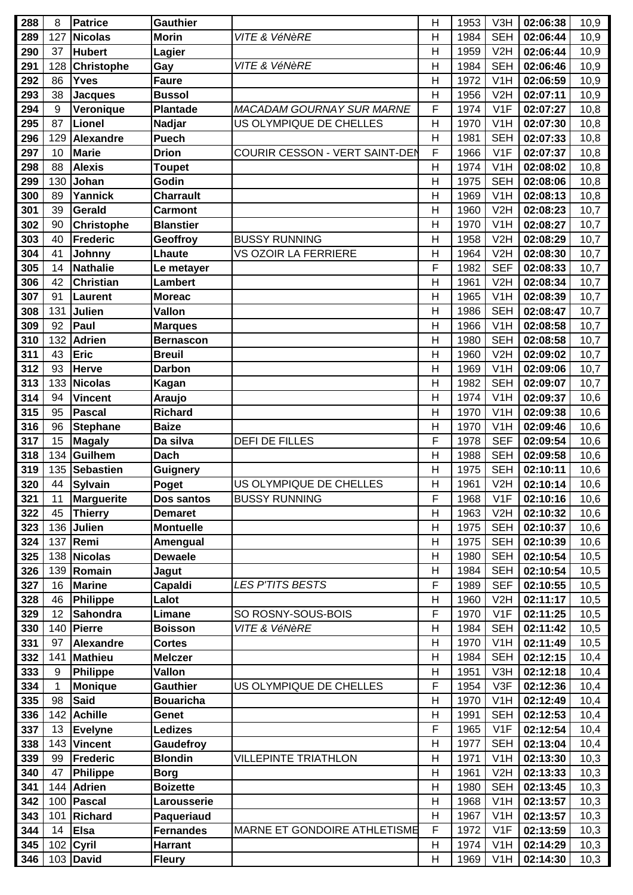| 288 | 8   | <b>Patrice</b>    | <b>Gauthier</b>  |                                  | H              | 1953 | V3H              | 02:06:38 | 10,9 |
|-----|-----|-------------------|------------------|----------------------------------|----------------|------|------------------|----------|------|
| 289 | 127 | <b>Nicolas</b>    | <b>Morin</b>     | VITE & VéNèRE                    | $\mathsf{H}$   | 1984 | <b>SEH</b>       | 02:06:44 | 10,9 |
| 290 | 37  | <b>Hubert</b>     | Lagier           |                                  | $\overline{H}$ | 1959 | V2H              | 02:06:44 | 10,9 |
| 291 | 128 | <b>Christophe</b> | Gay              | VITE & VéNèRE                    | $\mathsf{H}$   | 1984 | <b>SEH</b>       | 02:06:46 | 10,9 |
| 292 | 86  | <b>Yves</b>       | <b>Faure</b>     |                                  | $\mathsf{H}$   | 1972 | V <sub>1</sub> H | 02:06:59 | 10,9 |
| 293 | 38  | <b>Jacques</b>    | <b>Bussol</b>    |                                  | H              | 1956 | V <sub>2</sub> H | 02:07:11 | 10,9 |
| 294 | 9   | Veronique         | Plantade         | <b>MACADAM GOURNAY SUR MARNE</b> | F              | 1974 | V1F              | 02:07:27 | 10,8 |
| 295 | 87  | <b>Lionel</b>     | Nadjar           | US OLYMPIQUE DE CHELLES          | H              | 1970 | V <sub>1</sub> H | 02:07:30 | 10,8 |
| 296 | 129 | Alexandre         | <b>Puech</b>     |                                  | H              | 1981 | <b>SEH</b>       | 02:07:33 | 10,8 |
| 297 | 10  | <b>Marie</b>      | <b>Drion</b>     | COURIR CESSON - VERT SAINT-DEN   | F              | 1966 | V <sub>1F</sub>  | 02:07:37 | 10,8 |
| 298 | 88  | <b>Alexis</b>     | <b>Toupet</b>    |                                  | $\overline{H}$ | 1974 | V <sub>1</sub> H | 02:08:02 | 10,8 |
| 299 | 130 | Johan             | Godin            |                                  | $\mathsf{H}$   | 1975 | <b>SEH</b>       | 02:08:06 | 10,8 |
| 300 | 89  | Yannick           | <b>Charrault</b> |                                  | $\mathsf{H}$   | 1969 | V <sub>1</sub> H | 02:08:13 | 10,8 |
| 301 | 39  | Gerald            | <b>Carmont</b>   |                                  | $\overline{H}$ | 1960 | V <sub>2</sub> H | 02:08:23 | 10,7 |
| 302 | 90  | <b>Christophe</b> | <b>Blanstier</b> |                                  | $\mathsf{H}$   | 1970 | V1H              | 02:08:27 | 10,7 |
| 303 | 40  | Frederic          | Geoffroy         | <b>BUSSY RUNNING</b>             | H              | 1958 | V <sub>2</sub> H | 02:08:29 | 10,7 |
| 304 | 41  | Johnny            | Lhaute           | VS OZOIR LA FERRIERE             | $\mathsf{H}$   | 1964 | V2H              | 02:08:30 | 10,7 |
| 305 | 14  | <b>Nathalie</b>   | Le metayer       |                                  | F              | 1982 | <b>SEF</b>       | 02:08:33 | 10,7 |
| 306 | 42  | <b>Christian</b>  | <b>Lambert</b>   |                                  | $\mathsf{H}$   | 1961 | V <sub>2</sub> H | 02:08:34 | 10,7 |
| 307 | 91  | Laurent           | <b>Moreac</b>    |                                  | $\mathsf{H}$   | 1965 | V1H              | 02:08:39 | 10,7 |
| 308 | 131 | Julien            | Vallon           |                                  | $\mathsf{H}$   | 1986 | <b>SEH</b>       | 02:08:47 | 10,7 |
| 309 | 92  | Paul              | <b>Marques</b>   |                                  | $\overline{H}$ | 1966 | V <sub>1</sub> H | 02:08:58 | 10,7 |
| 310 | 132 | <b>Adrien</b>     | <b>Bernascon</b> |                                  | H              | 1980 | <b>SEH</b>       | 02:08:58 | 10,7 |
| 311 | 43  | <b>Eric</b>       | <b>Breuil</b>    |                                  | $\mathsf{H}$   | 1960 | V2H              | 02:09:02 | 10,7 |
| 312 | 93  | <b>Herve</b>      | <b>Darbon</b>    |                                  | $\mathsf{H}$   | 1969 | V <sub>1</sub> H | 02:09:06 | 10,7 |
| 313 | 133 | <b>Nicolas</b>    | Kagan            |                                  | $\mathsf{H}$   | 1982 | <b>SEH</b>       | 02:09:07 | 10,7 |
| 314 | 94  | <b>Vincent</b>    | Araujo           |                                  | $\mathsf{H}$   | 1974 | V1H              | 02:09:37 | 10,6 |
| 315 | 95  | <b>Pascal</b>     | <b>Richard</b>   |                                  | $\mathsf{H}$   | 1970 | V <sub>1</sub> H | 02:09:38 | 10,6 |
| 316 | 96  | <b>Stephane</b>   | <b>Baize</b>     |                                  | H              | 1970 | V <sub>1</sub> H | 02:09:46 | 10,6 |
| 317 | 15  | <b>Magaly</b>     | Da silva         | <b>DEFI DE FILLES</b>            | F              | 1978 | <b>SEF</b>       | 02:09:54 | 10,6 |
| 318 | 134 | Guilhem           | <b>Dach</b>      |                                  | $\mathsf{H}$   | 1988 | <b>SEH</b>       | 02:09:58 | 10,6 |
| 319 | 135 | Sebastien         | <b>Guignery</b>  |                                  | $\mathsf{H}$   | 1975 | <b>SEH</b>       | 02:10:11 | 10,6 |
| 320 | 44  | Sylvain           | Poget            | US OLYMPIQUE DE CHELLES          | $\mathsf{H}$   | 1961 | V2H              | 02:10:14 | 10,6 |
| 321 | 11  | Marguerite        | Dos santos       | <b>BUSSY RUNNING</b>             | F              | 1968 | V1F              | 02:10:16 | 10,6 |
| 322 | 45  | <b>Thierry</b>    | <b>Demaret</b>   |                                  | H              | 1963 | V2H              | 02:10:32 | 10,6 |
| 323 | 136 | <b>Julien</b>     | <b>Montuelle</b> |                                  | H              | 1975 | <b>SEH</b>       | 02:10:37 | 10,6 |
| 324 | 137 | Remi              | Amengual         |                                  | $\overline{H}$ | 1975 | <b>SEH</b>       | 02:10:39 | 10,6 |
| 325 | 138 | Nicolas           | <b>Dewaele</b>   |                                  | H              | 1980 | <b>SEH</b>       | 02:10:54 | 10,5 |
| 326 | 139 | Romain            | Jagut            |                                  | $\mathsf{H}$   | 1984 | <b>SEH</b>       | 02:10:54 | 10,5 |
| 327 | 16  | <b>Marine</b>     | Capaldi          | <b>LES P'TITS BESTS</b>          | F              | 1989 | <b>SEF</b>       | 02:10:55 | 10,5 |
| 328 | 46  | Philippe          | Lalot            |                                  | H              | 1960 | V2H              | 02:11:17 | 10,5 |
| 329 | 12  | Sahondra          | Limane           | SO ROSNY-SOUS-BOIS               | F              | 1970 | V <sub>1</sub> F | 02:11:25 | 10,5 |
| 330 | 140 | Pierre            | <b>Boisson</b>   | VITE & VéNèRE                    | $\mathsf{H}$   | 1984 | <b>SEH</b>       | 02:11:42 | 10,5 |
| 331 | 97  | Alexandre         | <b>Cortes</b>    |                                  | $\mathsf{H}$   | 1970 | V <sub>1</sub> H | 02:11:49 | 10,5 |
| 332 | 141 | <b>Mathieu</b>    | <b>Melczer</b>   |                                  | $\mathsf{H}$   | 1984 | <b>SEH</b>       | 02:12:15 | 10,4 |
| 333 | 9   | <b>Philippe</b>   | Vallon           |                                  | H              | 1951 | V3H              | 02:12:18 | 10,4 |
| 334 | 1   | <b>Monique</b>    | <b>Gauthier</b>  | US OLYMPIQUE DE CHELLES          | F              | 1954 | V3F              | 02:12:36 | 10,4 |
| 335 | 98  | <b>Said</b>       | <b>Bouaricha</b> |                                  | H              | 1970 | V1H              | 02:12:49 | 10,4 |
| 336 | 142 | Achille           | Genet            |                                  | H              | 1991 | <b>SEH</b>       | 02:12:53 | 10,4 |
| 337 | 13  | <b>Evelyne</b>    | <b>Ledizes</b>   |                                  | F              | 1965 | V <sub>1</sub> F | 02:12:54 | 10,4 |
| 338 | 143 | <b>Vincent</b>    | Gaudefroy        |                                  | $\mathsf{H}$   | 1977 | <b>SEH</b>       | 02:13:04 | 10,4 |
| 339 | 99  | <b>Frederic</b>   | <b>Blondin</b>   | <b>VILLEPINTE TRIATHLON</b>      | H              | 1971 | V <sub>1</sub> H | 02:13:30 | 10,3 |
| 340 | 47  | <b>Philippe</b>   | <b>Borg</b>      |                                  | $\mathsf{H}$   | 1961 | V2H              | 02:13:33 | 10,3 |
| 341 | 144 | Adrien            | <b>Boizette</b>  |                                  | $\mathsf{H}$   | 1980 | <b>SEH</b>       | 02:13:45 | 10,3 |
| 342 | 100 | <b>Pascal</b>     | Larousserie      |                                  | H              | 1968 | V <sub>1</sub> H | 02:13:57 | 10,3 |
| 343 | 101 | Richard           | Paqueriaud       |                                  | H              | 1967 | V <sub>1</sub> H | 02:13:57 | 10,3 |
| 344 | 14  | <b>Elsa</b>       | <b>Fernandes</b> | MARNE ET GONDOIRE ATHLETISME     | F              | 1972 | V1F              | 02:13:59 | 10,3 |
| 345 |     | 102 Cyril         | <b>Harrant</b>   |                                  | $\mathsf{H}$   | 1974 | V <sub>1</sub> H | 02:14:29 | 10,3 |
| 346 |     | 103 David         | <b>Fleury</b>    |                                  | Н              | 1969 | V <sub>1</sub> H | 02:14:30 | 10,3 |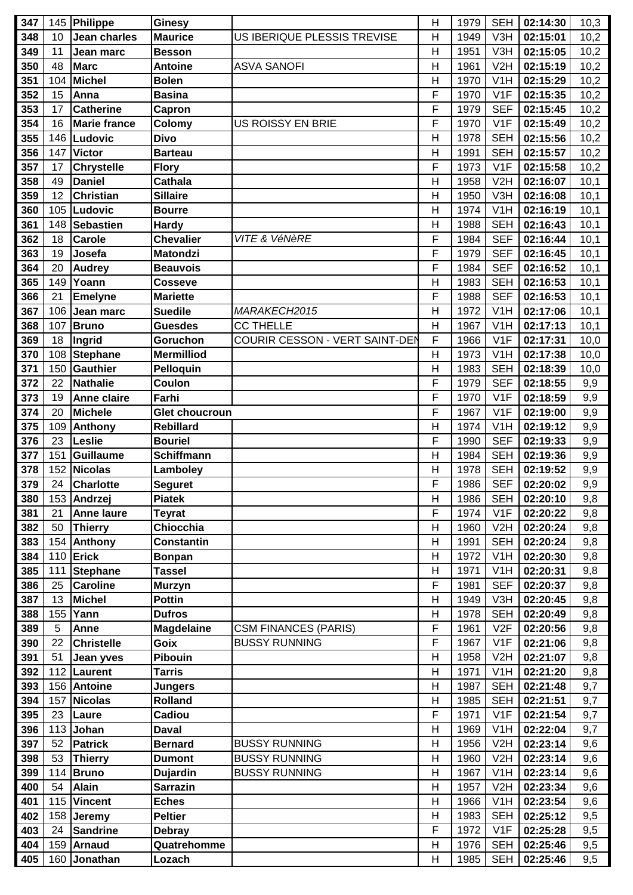| 347        |     | 145 Philippe        | Ginesy                |                                | H             | 1979         | <b>SEH</b>       | 02:14:30 | 10,3       |
|------------|-----|---------------------|-----------------------|--------------------------------|---------------|--------------|------------------|----------|------------|
| 348        | 10  | <b>Jean charles</b> | <b>Maurice</b>        | US IBERIQUE PLESSIS TREVISE    | Н             | 1949         | V3H              | 02:15:01 | 10,2       |
| 349        | 11  | Jean marc           | <b>Besson</b>         |                                | H             | 1951         | V3H              | 02:15:05 | 10,2       |
| 350        | 48  | Marc                | <b>Antoine</b>        | <b>ASVA SANOFI</b>             | $\mathsf{H}$  | 1961         | V <sub>2</sub> H | 02:15:19 | 10,2       |
| 351        | 104 | Michel              | <b>Bolen</b>          |                                | $\mathsf{H}$  | 1970         | V <sub>1</sub> H | 02:15:29 | 10,2       |
| 352        | 15  | Anna                | <b>Basina</b>         |                                | F             | 1970         | V <sub>1</sub> F | 02:15:35 | 10,2       |
| 353        | 17  | <b>Catherine</b>    | Capron                |                                | F             | 1979         | <b>SEF</b>       | 02:15:45 | 10,2       |
| 354        | 16  | Marie france        | Colomy                | US ROISSY EN BRIE              | F             | 1970         | V <sub>1</sub> F | 02:15:49 | 10,2       |
| 355        | 146 | Ludovic             | <b>Divo</b>           |                                | $\mathsf{H}$  | 1978         | <b>SEH</b>       | 02:15:56 | 10,2       |
| 356        | 147 | Victor              | <b>Barteau</b>        |                                | $\mathsf{H}$  | 1991         | <b>SEH</b>       | 02:15:57 | 10,2       |
| 357        | 17  | <b>Chrystelle</b>   | <b>Flory</b>          |                                | F             | 1973         | V1F              | 02:15:58 | 10,2       |
| 358        | 49  | <b>Daniel</b>       | <b>Cathala</b>        |                                | Η             | 1958         | V <sub>2</sub> H | 02:16:07 | 10,1       |
| 359        | 12  | <b>Christian</b>    | <b>Sillaire</b>       |                                | H             | 1950         | V3H              | 02:16:08 | 10,1       |
| 360        | 105 | Ludovic             | <b>Bourre</b>         |                                | H             | 1974         | V1H              | 02:16:19 | 10,1       |
| 361        | 148 | Sebastien           | <b>Hardy</b>          |                                | H             | 1988         | <b>SEH</b>       | 02:16:43 | 10,1       |
| 362        | 18  | <b>Carole</b>       | <b>Chevalier</b>      | VITE & VéNèRE                  | F             | 1984         | <b>SEF</b>       | 02:16:44 | 10,1       |
| 363        | 19  | Josefa              | <b>Matondzi</b>       |                                | F             | 1979         | <b>SEF</b>       | 02:16:45 | 10,1       |
| 364        | 20  | <b>Audrey</b>       | <b>Beauvois</b>       |                                | F             | 1984         | <b>SEF</b>       | 02:16:52 | 10,1       |
| 365        | 149 | <b>Yoann</b>        | <b>Cosseve</b>        |                                | Н             | 1983         | <b>SEH</b>       | 02:16:53 | 10,1       |
| 366        | 21  | <b>Emelyne</b>      | <b>Mariette</b>       |                                | F             | 1988         | <b>SEF</b>       | 02:16:53 | 10,1       |
| 367        | 106 | Jean marc           | <b>Suedile</b>        | MARAKECH2015                   | $\mathsf{H}$  | 1972         | V <sub>1</sub> H | 02:17:06 | 10,1       |
| 368        | 107 | <b>Bruno</b>        | <b>Guesdes</b>        | <b>CC THELLE</b>               | H             | 1967         | V1H              | 02:17:13 | 10,1       |
| 369        | 18  | Ingrid              | Goruchon              | COURIR CESSON - VERT SAINT-DEN | F             | 1966         | V1F              | 02:17:31 | 10,0       |
| 370        | 108 | Stephane            | <b>Mermilliod</b>     |                                | $\mathsf{H}$  | 1973         | V <sub>1</sub> H | 02:17:38 | 10,0       |
| 371        | 150 | Gauthier            | Pelloquin             |                                | Η             | 1983         | <b>SEH</b>       | 02:18:39 | 10,0       |
| 372        | 22  | Nathalie            | Coulon                |                                | F             | 1979         | <b>SEF</b>       | 02:18:55 | 9,9        |
| 373        | 19  | <b>Anne claire</b>  | Farhi                 |                                | F             | 1970         | V1F              | 02:18:59 | 9,9        |
| 374        | 20  | Michele             | <b>Glet choucroun</b> |                                | F             | 1967         | V <sub>1F</sub>  | 02:19:00 | 9,9        |
| 375        | 109 |                     | <b>Rebillard</b>      |                                | $\mathsf{H}$  | 1974         | V <sub>1</sub> H | 02:19:12 |            |
| 376        | 23  | Anthony<br>Leslie   | <b>Bouriel</b>        |                                | F             | 1990         | <b>SEF</b>       | 02:19:33 | 9,9<br>9,9 |
|            | 151 | Guillaume           |                       |                                | $\mathsf{H}$  |              | <b>SEH</b>       |          |            |
| 377        | 152 | Nicolas             | <b>Schiffmann</b>     |                                |               | 1984<br>1978 | <b>SEH</b>       | 02:19:36 | 9,9        |
| 378<br>379 | 24  | <b>Charlotte</b>    | Lamboley              |                                | H<br>F        | 1986         | <b>SEF</b>       | 02:19:52 | 9,9        |
|            |     |                     | <b>Seguret</b>        |                                |               |              |                  | 02:20:02 | 9,9        |
| 380        |     | 153 Andrzej         | <b>Piatek</b>         |                                | Н<br>F        | 1986         | SEH  <br>V1F     | 02:20:10 | 9,8        |
| 381        | 21  | <b>Anne laure</b>   | <b>Teyrat</b>         |                                |               | 1974         |                  | 02:20:22 | 9,8        |
| 382        | 50  | Thierry             | Chiocchia             |                                | H             | 1960         | V2H              | 02:20:24 | 9,8        |
| 383        | 154 | Anthony             | <b>Constantin</b>     |                                | H             | 1991         | <b>SEH</b>       | 02:20:24 | 9,8        |
| 384        | 110 | Erick               | <b>Bonpan</b>         |                                | H             | 1972         | V <sub>1</sub> H | 02:20:30 | 9,8        |
| 385        | 111 | Stephane            | <b>Tassel</b>         |                                | H             | 1971         | V <sub>1</sub> H | 02:20:31 | 9,8        |
| 386        | 25  | <b>Caroline</b>     | <b>Murzyn</b>         |                                | F             | 1981         | <b>SEF</b>       | 02:20:37 | 9,8        |
| 387        | 13  | Michel              | <b>Pottin</b>         |                                | H             | 1949         | V3H              | 02:20:45 | 9,8        |
| 388        | 155 | Yann                | <b>Dufros</b>         |                                | Η             | 1978         | <b>SEH</b>       | 02:20:49 | 9,8        |
| 389        | 5   | Anne                | <b>Magdelaine</b>     | <b>CSM FINANCES (PARIS)</b>    | F             | 1961         | V2F              | 02:20:56 | 9,8        |
| 390        | 22  | <b>Christelle</b>   | Goix                  | <b>BUSSY RUNNING</b>           | F             | 1967         | V1F              | 02:21:06 | 9,8        |
| 391        | 51  | Jean yves           | Pibouin               |                                | $\mathsf{H}$  | 1958         | V2H              | 02:21:07 | 9,8        |
| 392        | 112 | Laurent             | <b>Tarris</b>         |                                | Η             | 1971         | V <sub>1</sub> H | 02:21:20 | 9,8        |
| 393        | 156 | Antoine             | <b>Jungers</b>        |                                | H             | 1987         | <b>SEH</b>       | 02:21:48 | 9,7        |
| 394        | 157 | Nicolas             | <b>Rolland</b>        |                                | H             | 1985         | <b>SEH</b>       | 02:21:51 | 9,7        |
| 395        | 23  | Laure               | Cadiou                |                                | F             | 1971         | V1F              | 02:21:54 | 9,7        |
| 396        | 113 | Johan               | <b>Daval</b>          |                                | Н             | 1969         | V <sub>1</sub> H | 02:22:04 | 9,7        |
| 397        | 52  | Patrick             | <b>Bernard</b>        | <b>BUSSY RUNNING</b>           | $\mathsf{H}%$ | 1956         | V2H              | 02:23:14 | 9,6        |
| 398        | 53  | <b>Thierry</b>      | <b>Dumont</b>         | <b>BUSSY RUNNING</b>           | Н             | 1960         | V2H              | 02:23:14 | 9,6        |
| 399        | 114 | Bruno               | <b>Dujardin</b>       | <b>BUSSY RUNNING</b>           | H             | 1967         | V <sub>1</sub> H | 02:23:14 | 9,6        |
| 400        | 54  | Alain               | <b>Sarrazin</b>       |                                | H             | 1957         | V2H              | 02:23:34 | 9,6        |
| 401        | 115 | <b>Vincent</b>      | <b>Eches</b>          |                                | H             | 1966         | V <sub>1</sub> H | 02:23:54 | 9,6        |
| 402        | 158 | <b>Jeremy</b>       | <b>Peltier</b>        |                                | H             | 1983         | <b>SEH</b>       | 02:25:12 | 9,5        |
| 403        | 24  | <b>Sandrine</b>     | <b>Debray</b>         |                                | F             | 1972         | V1F              | 02:25:28 | 9,5        |
| 404        | 159 | Arnaud              | Quatrehomme           |                                | Η             | 1976         | <b>SEH</b>       | 02:25:46 | 9,5        |
| 405        | 160 | Jonathan            | Lozach                |                                | H             | 1985         | <b>SEH</b>       | 02:25:46 | 9,5        |